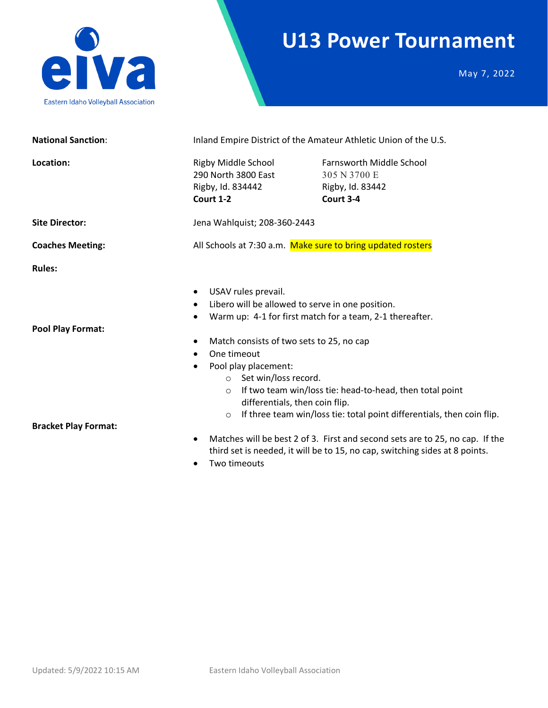

### **U13 Power Tournament**

May 7, 2022

| <b>National Sanction:</b>   | Inland Empire District of the Amateur Athletic Union of the U.S.                                                                                                                                                                                                                                                                                                                       |                                                                                  |  |
|-----------------------------|----------------------------------------------------------------------------------------------------------------------------------------------------------------------------------------------------------------------------------------------------------------------------------------------------------------------------------------------------------------------------------------|----------------------------------------------------------------------------------|--|
| Location:                   | Rigby Middle School<br>290 North 3800 East<br>Rigby, Id. 834442<br>Court 1-2                                                                                                                                                                                                                                                                                                           | <b>Farnsworth Middle School</b><br>305 N 3700 E<br>Rigby, Id. 83442<br>Court 3-4 |  |
| <b>Site Director:</b>       | Jena Wahlquist; 208-360-2443                                                                                                                                                                                                                                                                                                                                                           |                                                                                  |  |
| <b>Coaches Meeting:</b>     | All Schools at 7:30 a.m. Make sure to bring updated rosters                                                                                                                                                                                                                                                                                                                            |                                                                                  |  |
| <b>Rules:</b>               |                                                                                                                                                                                                                                                                                                                                                                                        |                                                                                  |  |
| <b>Pool Play Format:</b>    | USAV rules prevail.<br>$\bullet$<br>Libero will be allowed to serve in one position.<br>$\bullet$<br>Warm up: 4-1 for first match for a team, 2-1 thereafter.<br>Match consists of two sets to 25, no cap<br>$\bullet$<br>One timeout<br>$\bullet$<br>Pool play placement:<br>$\bullet$<br>○ Set win/loss record.                                                                      |                                                                                  |  |
| <b>Bracket Play Format:</b> | If two team win/loss tie: head-to-head, then total point<br>$\circ$<br>differentials, then coin flip.<br>If three team win/loss tie: total point differentials, then coin flip.<br>$\circ$<br>Matches will be best 2 of 3. First and second sets are to 25, no cap. If the<br>$\bullet$<br>third set is needed, it will be to 15, no cap, switching sides at 8 points.<br>Two timeouts |                                                                                  |  |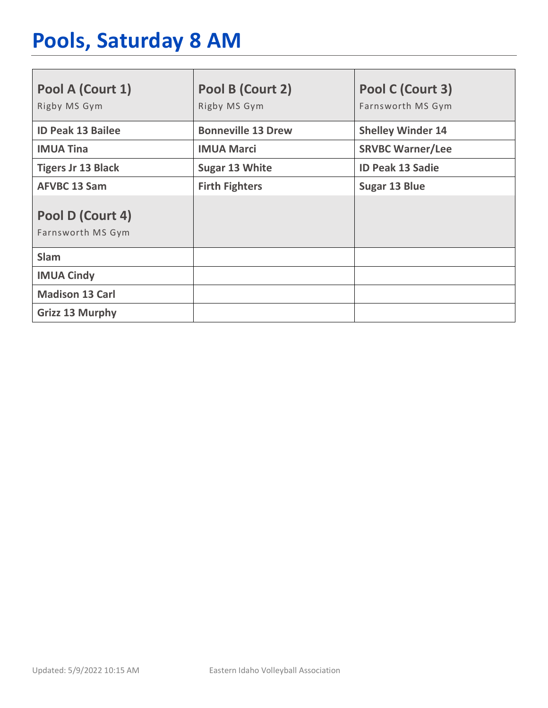# **Pools, Saturday 8 AM**

| Pool A (Court 1)<br>Rigby MS Gym      | Pool B (Court 2)<br>Rigby MS Gym | Pool C (Court 3)<br>Farnsworth MS Gym |
|---------------------------------------|----------------------------------|---------------------------------------|
| <b>ID Peak 13 Bailee</b>              | <b>Bonneville 13 Drew</b>        | <b>Shelley Winder 14</b>              |
| <b>IMUA Tina</b>                      | <b>IMUA Marci</b>                | <b>SRVBC Warner/Lee</b>               |
| <b>Tigers Jr 13 Black</b>             | <b>Sugar 13 White</b>            | <b>ID Peak 13 Sadie</b>               |
| <b>AFVBC 13 Sam</b>                   | <b>Firth Fighters</b>            | <b>Sugar 13 Blue</b>                  |
| Pool D (Court 4)<br>Farnsworth MS Gym |                                  |                                       |
| <b>Slam</b>                           |                                  |                                       |
| <b>IMUA Cindy</b>                     |                                  |                                       |
| <b>Madison 13 Carl</b>                |                                  |                                       |
| <b>Grizz 13 Murphy</b>                |                                  |                                       |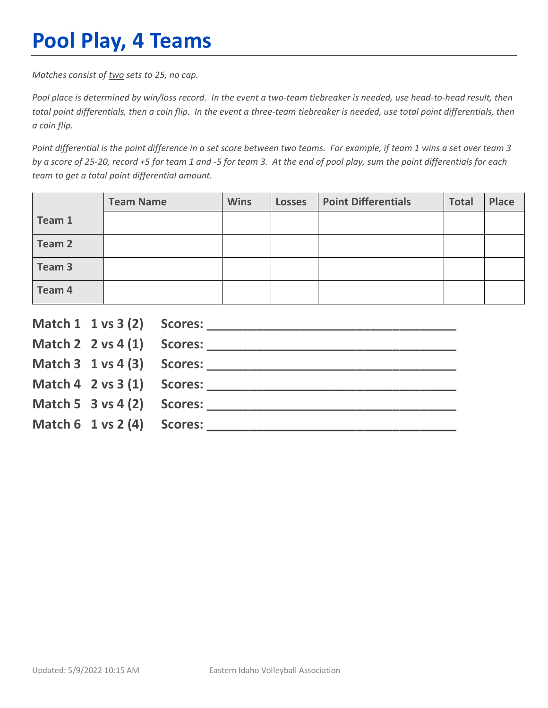## **Pool Play, 4 Teams**

*Matches consist of two sets to 25, no cap.*

*Pool place is determined by win/loss record. In the event a two-team tiebreaker is needed, use head-to-head result, then total point differentials, then a coin flip. In the event a three-team tiebreaker is needed, use total point differentials, then a coin flip.*

*Point differential is the point difference in a set score between two teams. For example, if team 1 wins a set over team 3 by a score of 25-20, record +5 for team 1 and -5 for team 3. At the end of pool play, sum the point differentials for each team to get a total point differential amount.* 

|        | <b>Team Name</b> | <b>Wins</b> | <b>Losses</b> | <b>Point Differentials</b> | <b>Total</b> | <b>Place</b> |
|--------|------------------|-------------|---------------|----------------------------|--------------|--------------|
| Team 1 |                  |             |               |                            |              |              |
| Team 2 |                  |             |               |                            |              |              |
| Team 3 |                  |             |               |                            |              |              |
| Team 4 |                  |             |               |                            |              |              |

|                                        | Match $2 \times 4(1)$ Scores:              |
|----------------------------------------|--------------------------------------------|
|                                        |                                            |
|                                        | Match $4 \quad 2 \text{ vs } 3(1)$ Scores: |
| Match 5 $3$ vs 4 (2) Scores:           |                                            |
| Match $6 \t1 \text{ vs } 2(4)$ Scores: |                                            |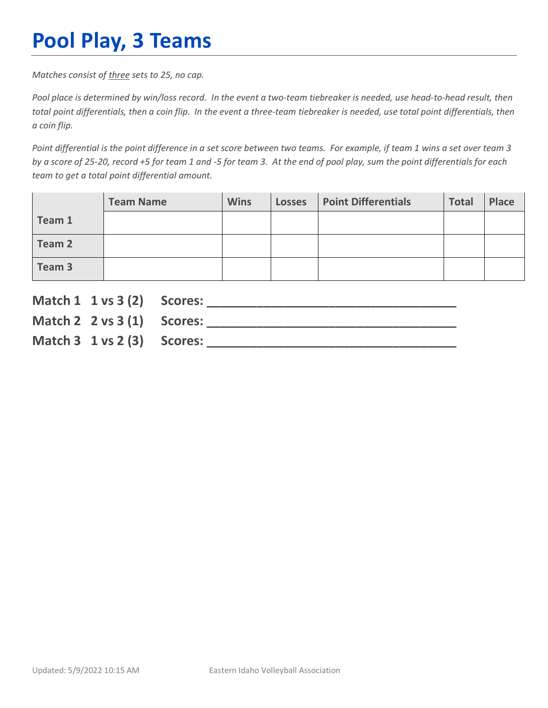## **Pool Play, 3 Teams**

*Matches consist of three sets to 25, no cap.*

*Pool place is determined by win/loss record. In the event a two-team tiebreaker is needed, use head-to-head result, then total point differentials, then a coin flip. In the event a three-team tiebreaker is needed, use total point differentials, then a coin flip.*

*Point differential is the point difference in a set score between two teams. For example, if team 1 wins a set over team 3 by a score of 25-20, record +5 for team 1 and -5 for team 3. At the end of pool play, sum the point differentials for each team to get a total point differential amount.* 

|        | <b>Team Name</b> | <b>Wins</b> | <b>Losses</b> | <b>Point Differentials</b> | <b>Total</b> | Place |
|--------|------------------|-------------|---------------|----------------------------|--------------|-------|
| Team 1 |                  |             |               |                            |              |       |
| Team 2 |                  |             |               |                            |              |       |
| Team 3 |                  |             |               |                            |              |       |

| Match 1 1 vs 3 (2) Scores:             |  |
|----------------------------------------|--|
| Match 2 $2 \text{ vs } 3(1)$ Scores:   |  |
| Match $3 \t1 \text{ vs } 2(3)$ Scores: |  |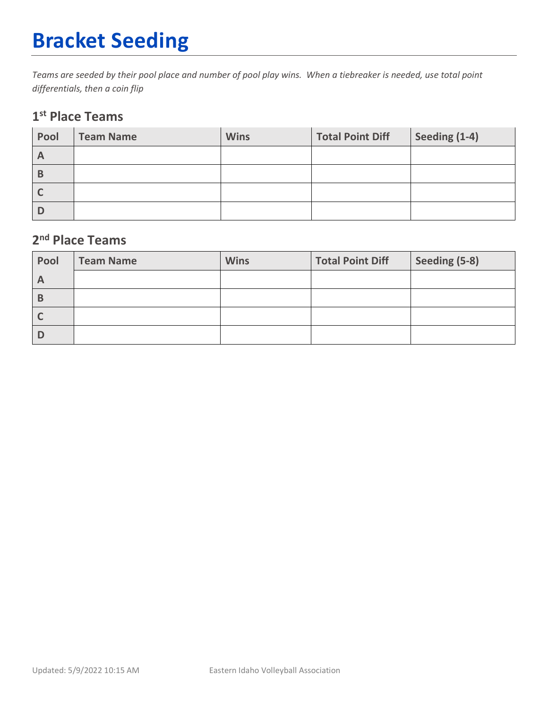# **Bracket Seeding**

*Teams are seeded by their pool place and number of pool play wins. When a tiebreaker is needed, use total point differentials, then a coin flip*

#### **1st Place Teams**

| Pool         | <b>Team Name</b> | <b>Wins</b> | <b>Total Point Diff</b> | Seeding (1-4) |
|--------------|------------------|-------------|-------------------------|---------------|
| $\mathsf{A}$ |                  |             |                         |               |
| В            |                  |             |                         |               |
|              |                  |             |                         |               |
|              |                  |             |                         |               |

#### **2nd Place Teams**

| Pool           | <b>Team Name</b> | <b>Wins</b> | <b>Total Point Diff</b> | Seeding (5-8) |
|----------------|------------------|-------------|-------------------------|---------------|
| $\overline{A}$ |                  |             |                         |               |
| В              |                  |             |                         |               |
|                |                  |             |                         |               |
|                |                  |             |                         |               |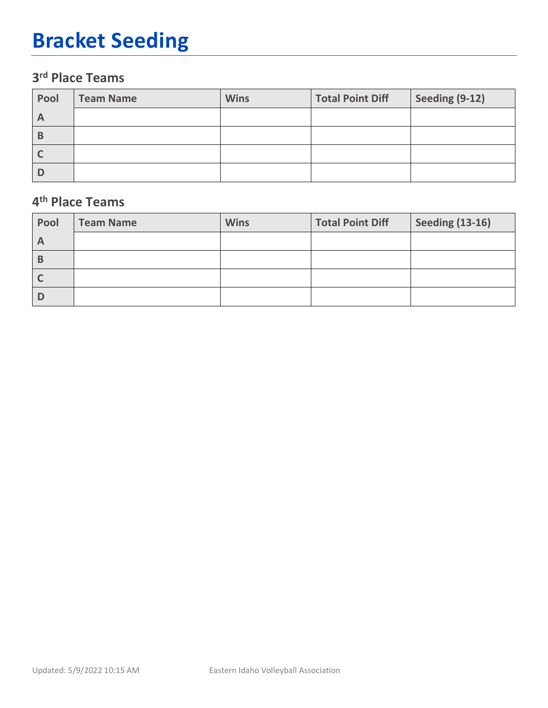## **Bracket Seeding**

### **3rd Place Teams**

| Pool         | <b>Team Name</b> | <b>Wins</b> | <b>Total Point Diff</b> | Seeding (9-12) |
|--------------|------------------|-------------|-------------------------|----------------|
| $\mathsf{A}$ |                  |             |                         |                |
| В            |                  |             |                         |                |
|              |                  |             |                         |                |
|              |                  |             |                         |                |

#### **4th Place Teams**

| Pool         | <b>Team Name</b> | <b>Wins</b> | <b>Total Point Diff</b> | <b>Seeding (13-16)</b> |
|--------------|------------------|-------------|-------------------------|------------------------|
| $\mathsf{A}$ |                  |             |                         |                        |
| B            |                  |             |                         |                        |
|              |                  |             |                         |                        |
|              |                  |             |                         |                        |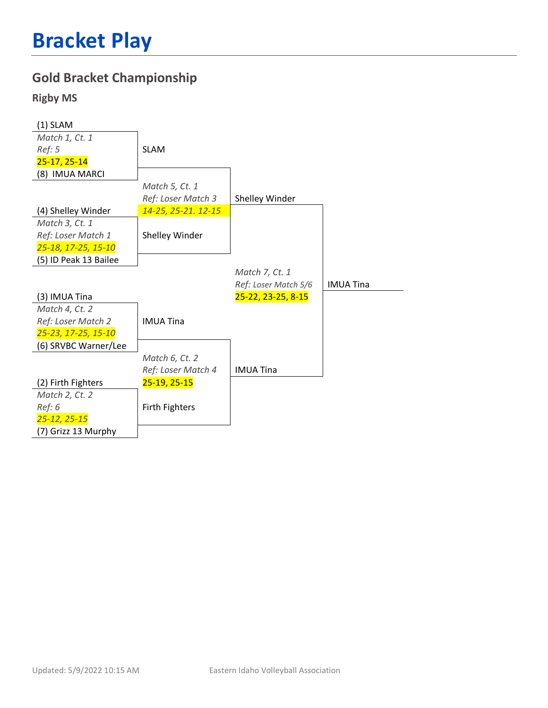#### **Gold Bracket Championship**

#### **Rigby MS**

| $(1)$ SLAM            |                       |                      |                  |
|-----------------------|-----------------------|----------------------|------------------|
| Match 1, Ct. 1        |                       |                      |                  |
| Ref: 5                | <b>SLAM</b>           |                      |                  |
| $25 - 17, 25 - 14$    |                       |                      |                  |
| (8) IMUA MARCI        |                       |                      |                  |
|                       | Match 5, Ct. 1        |                      |                  |
|                       | Ref: Loser Match 3    | Shelley Winder       |                  |
| (4) Shelley Winder    | 14-25, 25-21. 12-15   |                      |                  |
| Match 3, Ct. 1        |                       |                      |                  |
| Ref: Loser Match 1    | Shelley Winder        |                      |                  |
| 25-18, 17-25, 15-10   |                       |                      |                  |
| (5) ID Peak 13 Bailee |                       |                      |                  |
|                       |                       | Match 7, Ct. 1       |                  |
|                       |                       | Ref: Loser Match 5/6 | <b>IMUA Tina</b> |
| (3) IMUA Tina         |                       | 25-22, 23-25, 8-15   |                  |
| Match 4, Ct. 2        |                       |                      |                  |
| Ref: Loser Match 2    | <b>IMUA Tina</b>      |                      |                  |
| 25-23, 17-25, 15-10   |                       |                      |                  |
| (6) SRVBC Warner/Lee  |                       |                      |                  |
|                       | Match 6, Ct. 2        |                      |                  |
|                       | Ref: Loser Match 4    | <b>IMUA Tina</b>     |                  |
| (2) Firth Fighters    | 25-19, 25-15          |                      |                  |
| Match 2, Ct. 2        |                       |                      |                  |
| Ref: 6                | <b>Firth Fighters</b> |                      |                  |
| 25-12, 25-15          |                       |                      |                  |
| (7) Grizz 13 Murphy   |                       |                      |                  |